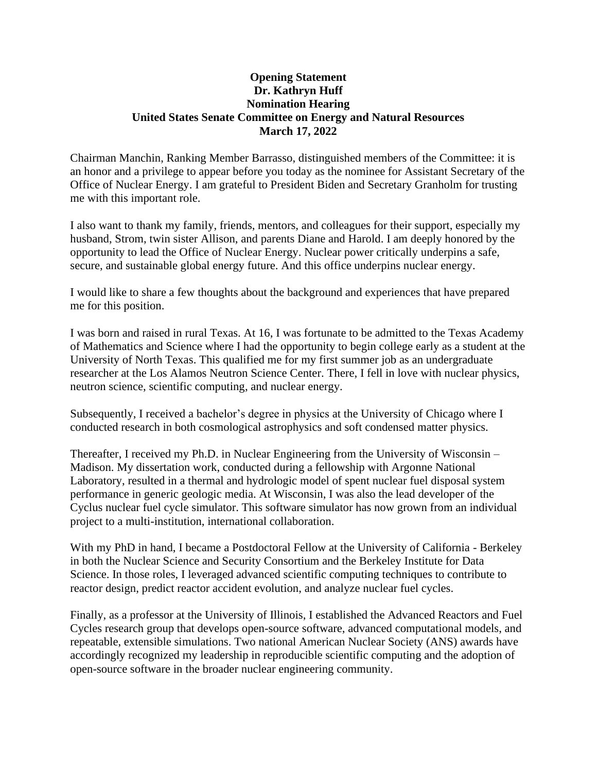## **Opening Statement Dr. Kathryn Huff Nomination Hearing United States Senate Committee on Energy and Natural Resources March 17, 2022**

Chairman Manchin, Ranking Member Barrasso, distinguished members of the Committee: it is an honor and a privilege to appear before you today as the nominee for Assistant Secretary of the Office of Nuclear Energy. I am grateful to President Biden and Secretary Granholm for trusting me with this important role.

I also want to thank my family, friends, mentors, and colleagues for their support, especially my husband, Strom, twin sister Allison, and parents Diane and Harold. I am deeply honored by the opportunity to lead the Office of Nuclear Energy. Nuclear power critically underpins a safe, secure, and sustainable global energy future. And this office underpins nuclear energy.

I would like to share a few thoughts about the background and experiences that have prepared me for this position.

I was born and raised in rural Texas. At 16, I was fortunate to be admitted to the Texas Academy of Mathematics and Science where I had the opportunity to begin college early as a student at the University of North Texas. This qualified me for my first summer job as an undergraduate researcher at the Los Alamos Neutron Science Center. There, I fell in love with nuclear physics, neutron science, scientific computing, and nuclear energy.

Subsequently, I received a bachelor's degree in physics at the University of Chicago where I conducted research in both cosmological astrophysics and soft condensed matter physics.

Thereafter, I received my Ph.D. in Nuclear Engineering from the University of Wisconsin – Madison. My dissertation work, conducted during a fellowship with Argonne National Laboratory, resulted in a thermal and hydrologic model of spent nuclear fuel disposal system performance in generic geologic media. At Wisconsin, I was also the lead developer of the Cyclus nuclear fuel cycle simulator. This software simulator has now grown from an individual project to a multi-institution, international collaboration.

With my PhD in hand, I became a Postdoctoral Fellow at the University of California - Berkeley in both the Nuclear Science and Security Consortium and the Berkeley Institute for Data Science. In those roles, I leveraged advanced scientific computing techniques to contribute to reactor design, predict reactor accident evolution, and analyze nuclear fuel cycles.

Finally, as a professor at the University of Illinois, I established the Advanced Reactors and Fuel Cycles research group that develops open-source software, advanced computational models, and repeatable, extensible simulations. Two national American Nuclear Society (ANS) awards have accordingly recognized my leadership in reproducible scientific computing and the adoption of open-source software in the broader nuclear engineering community.